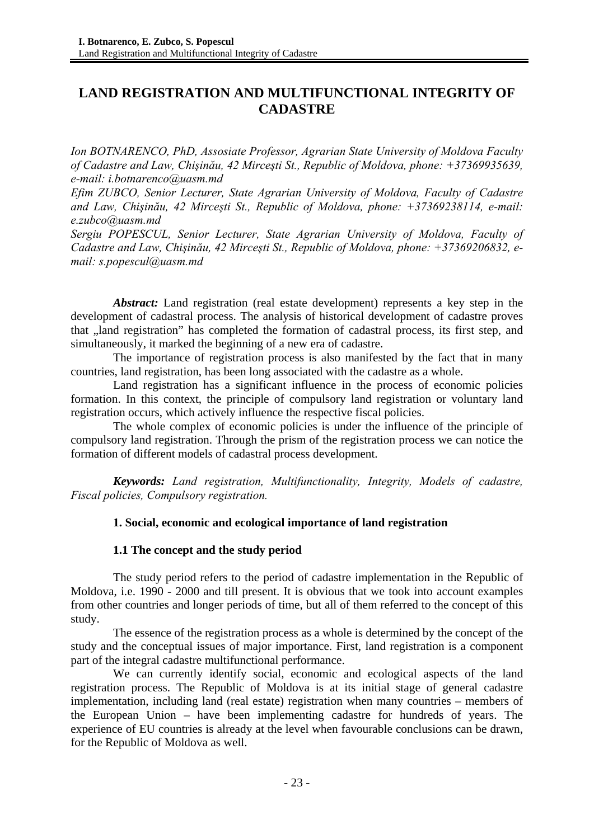# **LAND REGISTRATION AND MULTIFUNCTIONAL INTEGRITY OF CADASTRE**

*Ion BOTNARENCO, PhD, Assosiate Professor, Agrarian State University of Moldova Faculty of Cadastre and Law, Chişinău, 42 Mirceşti St., Republic of Moldova, phone: +37369935639, e-mail: i.botnarenco@uasm.md* 

*Efim ZUBCO, Senior Lecturer, State Agrarian University of Moldova, Faculty of Cadastre and Law, Chişinău, 42 Mirceşti St., Republic of Moldova, phone: +37369238114, e-mail: e.zubco@uasm.md* 

*Sergiu POPESCUL, Senior Lecturer, State Agrarian University of Moldova, Faculty of Cadastre and Law, Chişinău, 42 Mirceşti St., Republic of Moldova, phone: +37369206832, email: s.popescul@uasm.md* 

*Abstract:* Land registration (real estate development) represents a key step in the development of cadastral process. The analysis of historical development of cadastre proves that "land registration" has completed the formation of cadastral process, its first step, and simultaneously, it marked the beginning of a new era of cadastre.

The importance of registration process is also manifested by the fact that in many countries, land registration, has been long associated with the cadastre as a whole.

Land registration has a significant influence in the process of economic policies formation. In this context, the principle of compulsory land registration or voluntary land registration occurs, which actively influence the respective fiscal policies.

The whole complex of economic policies is under the influence of the principle of compulsory land registration. Through the prism of the registration process we can notice the formation of different models of cadastral process development.

*Keywords: Land registration, Multifunctionality, Integrity, Models of cadastre, Fiscal policies, Compulsory registration.* 

## **1. Social, economic and ecological importance of land registration**

## **1.1 The concept and the study period**

The study period refers to the period of cadastre implementation in the Republic of Moldova, i.e. 1990 - 2000 and till present. It is obvious that we took into account examples from other countries and longer periods of time, but all of them referred to the concept of this study.

The essence of the registration process as a whole is determined by the concept of the study and the conceptual issues of major importance. First, land registration is a component part of the integral cadastre multifunctional performance.

We can currently identify social, economic and ecological aspects of the land registration process. The Republic of Moldova is at its initial stage of general cadastre implementation, including land (real estate) registration when many countries – members of the European Union – have been implementing cadastre for hundreds of years. The experience of EU countries is already at the level when favourable conclusions can be drawn, for the Republic of Moldova as well.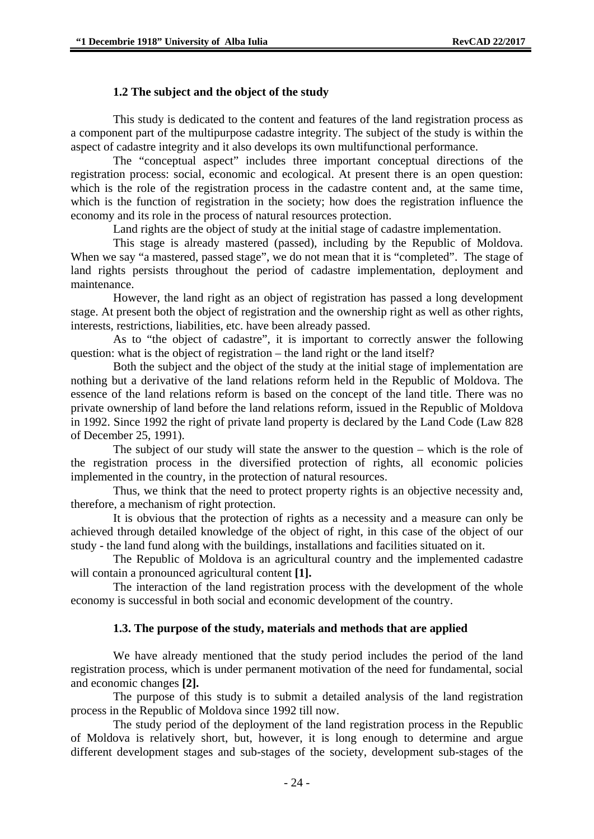#### **1.2 The subject and the object of the study**

This study is dedicated to the content and features of the land registration process as a component part of the multipurpose cadastre integrity. The subject of the study is within the aspect of cadastre integrity and it also develops its own multifunctional performance.

The "conceptual aspect" includes three important conceptual directions of the registration process: social, economic and ecological. At present there is an open question: which is the role of the registration process in the cadastre content and, at the same time, which is the function of registration in the society; how does the registration influence the economy and its role in the process of natural resources protection.

Land rights are the object of study at the initial stage of cadastre implementation.

This stage is already mastered (passed), including by the Republic of Moldova. When we say "a mastered, passed stage", we do not mean that it is "completed". The stage of land rights persists throughout the period of cadastre implementation, deployment and maintenance.

However, the land right as an object of registration has passed a long development stage. At present both the object of registration and the ownership right as well as other rights, interests, restrictions, liabilities, etc. have been already passed.

As to "the object of cadastre", it is important to correctly answer the following question: what is the object of registration – the land right or the land itself?

Both the subject and the object of the study at the initial stage of implementation are nothing but a derivative of the land relations reform held in the Republic of Moldova. The essence of the land relations reform is based on the concept of the land title. There was no private ownership of land before the land relations reform, issued in the Republic of Moldova in 1992. Since 1992 the right of private land property is declared by the Land Code (Law 828 of December 25, 1991).

The subject of our study will state the answer to the question – which is the role of the registration process in the diversified protection of rights, all economic policies implemented in the country, in the protection of natural resources.

Thus, we think that the need to protect property rights is an objective necessity and, therefore, a mechanism of right protection.

It is obvious that the protection of rights as a necessity and a measure can only be achieved through detailed knowledge of the object of right, in this case of the object of our study - the land fund along with the buildings, installations and facilities situated on it.

The Republic of Moldova is an agricultural country and the implemented cadastre will contain a pronounced agricultural content **[1].**

The interaction of the land registration process with the development of the whole economy is successful in both social and economic development of the country.

#### **1.3. The purpose of the study, materials and methods that are applied**

We have already mentioned that the study period includes the period of the land registration process, which is under permanent motivation of the need for fundamental, social and economic changes **[2].**

The purpose of this study is to submit a detailed analysis of the land registration process in the Republic of Moldova since 1992 till now.

The study period of the deployment of the land registration process in the Republic of Moldova is relatively short, but, however, it is long enough to determine and argue different development stages and sub-stages of the society, development sub-stages of the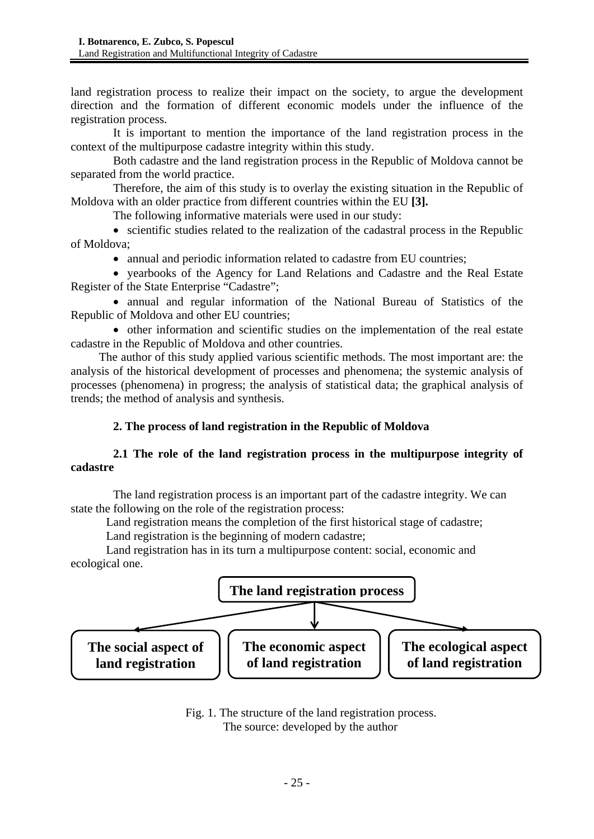land registration process to realize their impact on the society, to argue the development direction and the formation of different economic models under the influence of the registration process.

It is important to mention the importance of the land registration process in the context of the multipurpose cadastre integrity within this study.

Both cadastre and the land registration process in the Republic of Moldova cannot be separated from the world practice.

Therefore, the aim of this study is to overlay the existing situation in the Republic of Moldova with an older practice from different countries within the EU **[3].**

The following informative materials were used in our study:

• scientific studies related to the realization of the cadastral process in the Republic of Moldova;

• annual and periodic information related to cadastre from EU countries:

• yearbooks of the Agency for Land Relations and Cadastre and the Real Estate Register of the State Enterprise "Cadastre";

• annual and regular information of the National Bureau of Statistics of the Republic of Moldova and other EU countries;

• other information and scientific studies on the implementation of the real estate cadastre in the Republic of Moldova and other countries.

The author of this study applied various scientific methods. The most important are: the analysis of the historical development of processes and phenomena; the systemic analysis of processes (phenomena) in progress; the analysis of statistical data; the graphical analysis of trends; the method of analysis and synthesis.

## **2. The process of land registration in the Republic of Moldova**

## **2.1 The role of the land registration process in the multipurpose integrity of cadastre**

The land registration process is an important part of the cadastre integrity. We can state the following on the role of the registration process:

Land registration means the completion of the first historical stage of cadastre;

Land registration is the beginning of modern cadastre;

Land registration has in its turn a multipurpose content: social, economic and ecological one.



Fig. 1. The structure of the land registration process. The source: developed by the author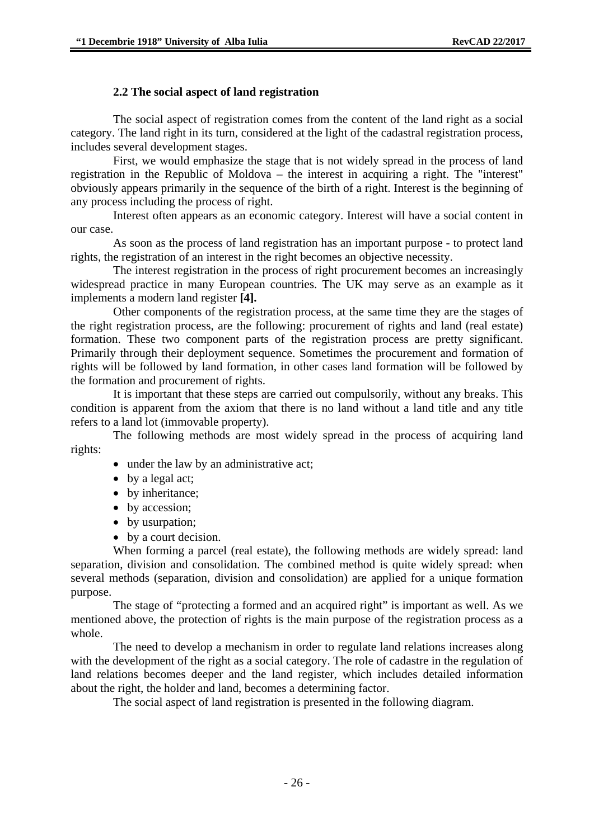#### **2.2 The social aspect of land registration**

The social aspect of registration comes from the content of the land right as a social category. The land right in its turn, considered at the light of the cadastral registration process, includes several development stages.

First, we would emphasize the stage that is not widely spread in the process of land registration in the Republic of Moldova – the interest in acquiring a right. The "interest" obviously appears primarily in the sequence of the birth of a right. Interest is the beginning of any process including the process of right.

Interest often appears as an economic category. Interest will have a social content in our case.

As soon as the process of land registration has an important purpose - to protect land rights, the registration of an interest in the right becomes an objective necessity.

The interest registration in the process of right procurement becomes an increasingly widespread practice in many European countries. The UK may serve as an example as it implements a modern land register **[4].**

Other components of the registration process, at the same time they are the stages of the right registration process, are the following: procurement of rights and land (real estate) formation. These two component parts of the registration process are pretty significant. Primarily through their deployment sequence. Sometimes the procurement and formation of rights will be followed by land formation, in other cases land formation will be followed by the formation and procurement of rights.

It is important that these steps are carried out compulsorily, without any breaks. This condition is apparent from the axiom that there is no land without a land title and any title refers to a land lot (immovable property).

The following methods are most widely spread in the process of acquiring land rights:

- under the law by an administrative act:
- by a legal act;
- by inheritance;
- by accession;
- by usurpation;
- by a court decision.

When forming a parcel (real estate), the following methods are widely spread: land separation, division and consolidation. The combined method is quite widely spread: when several methods (separation, division and consolidation) are applied for a unique formation purpose.

The stage of "protecting a formed and an acquired right" is important as well. As we mentioned above, the protection of rights is the main purpose of the registration process as a whole.

The need to develop a mechanism in order to regulate land relations increases along with the development of the right as a social category. The role of cadastre in the regulation of land relations becomes deeper and the land register, which includes detailed information about the right, the holder and land, becomes a determining factor.

The social aspect of land registration is presented in the following diagram.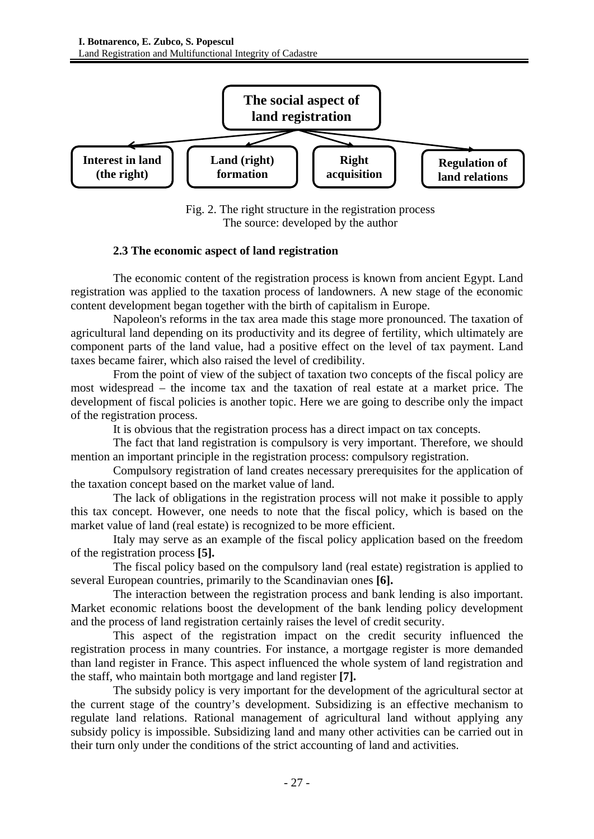

Fig. 2. The right structure in the registration process The source: developed by the author

#### **2.3 The economic aspect of land registration**

The economic content of the registration process is known from ancient Egypt. Land registration was applied to the taxation process of landowners. A new stage of the economic content development began together with the birth of capitalism in Europe.

Napoleon's reforms in the tax area made this stage more pronounced. The taxation of agricultural land depending on its productivity and its degree of fertility, which ultimately are component parts of the land value, had a positive effect on the level of tax payment. Land taxes became fairer, which also raised the level of credibility.

From the point of view of the subject of taxation two concepts of the fiscal policy are most widespread – the income tax and the taxation of real estate at a market price. The development of fiscal policies is another topic. Here we are going to describe only the impact of the registration process.

It is obvious that the registration process has a direct impact on tax concepts.

The fact that land registration is compulsory is very important. Therefore, we should mention an important principle in the registration process: compulsory registration.

Compulsory registration of land creates necessary prerequisites for the application of the taxation concept based on the market value of land.

The lack of obligations in the registration process will not make it possible to apply this tax concept. However, one needs to note that the fiscal policy, which is based on the market value of land (real estate) is recognized to be more efficient.

Italy may serve as an example of the fiscal policy application based on the freedom of the registration process **[5].**

The fiscal policy based on the compulsory land (real estate) registration is applied to several European countries, primarily to the Scandinavian ones **[6].**

The interaction between the registration process and bank lending is also important. Market economic relations boost the development of the bank lending policy development and the process of land registration certainly raises the level of credit security.

This aspect of the registration impact on the credit security influenced the registration process in many countries. For instance, a mortgage register is more demanded than land register in France. This aspect influenced the whole system of land registration and the staff, who maintain both mortgage and land register **[7].**

The subsidy policy is very important for the development of the agricultural sector at the current stage of the country's development. Subsidizing is an effective mechanism to regulate land relations. Rational management of agricultural land without applying any subsidy policy is impossible. Subsidizing land and many other activities can be carried out in their turn only under the conditions of the strict accounting of land and activities.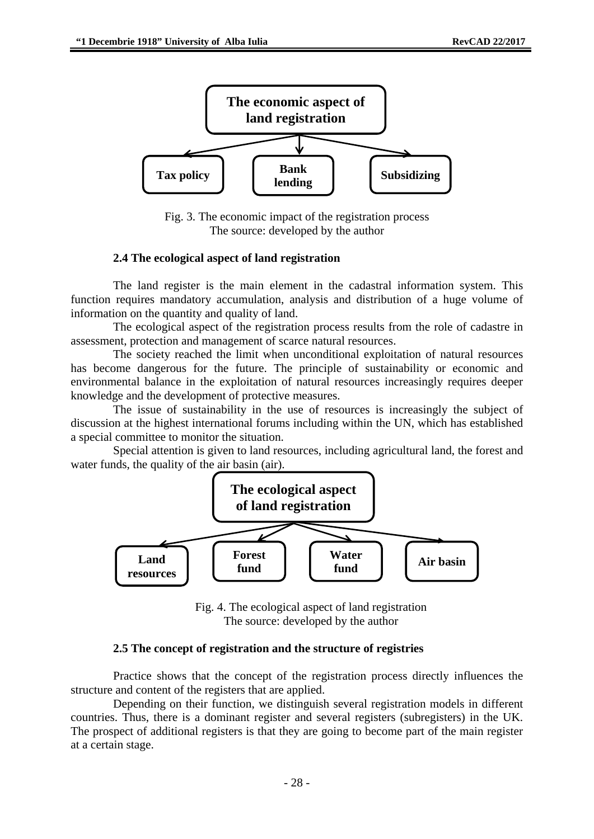

Fig. 3. The economic impact of the registration process The source: developed by the author

#### **2.4 The ecological aspect of land registration**

The land register is the main element in the cadastral information system. This function requires mandatory accumulation, analysis and distribution of a huge volume of information on the quantity and quality of land.

The ecological aspect of the registration process results from the role of cadastre in assessment, protection and management of scarce natural resources.

The society reached the limit when unconditional exploitation of natural resources has become dangerous for the future. The principle of sustainability or economic and environmental balance in the exploitation of natural resources increasingly requires deeper knowledge and the development of protective measures.

The issue of sustainability in the use of resources is increasingly the subject of discussion at the highest international forums including within the UN, which has established a special committee to monitor the situation.

Special attention is given to land resources, including agricultural land, the forest and water funds, the quality of the air basin (air).



Fig. 4. The ecological aspect of land registration The source: developed by the author

#### **2.5 The concept of registration and the structure of registries**

Practice shows that the concept of the registration process directly influences the structure and content of the registers that are applied.

Depending on their function, we distinguish several registration models in different countries. Thus, there is a dominant register and several registers (subregisters) in the UK. The prospect of additional registers is that they are going to become part of the main register at a certain stage.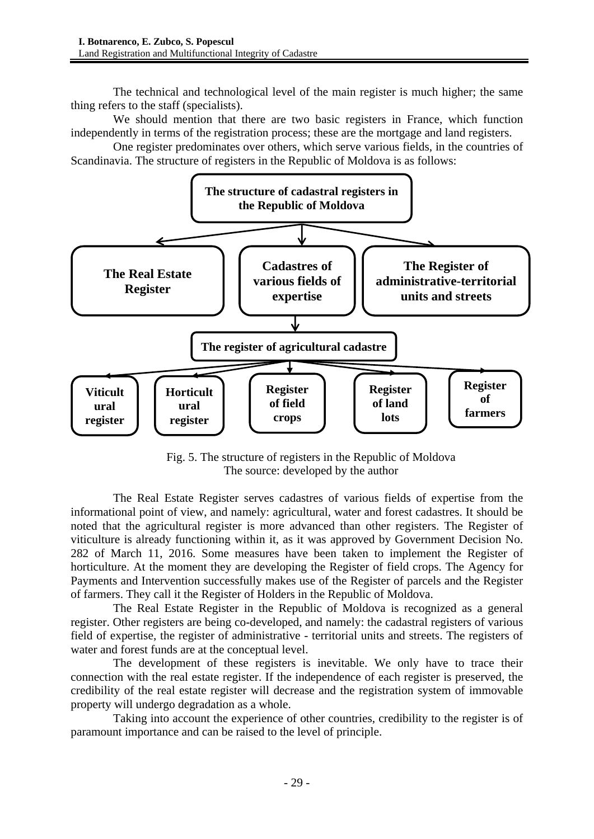The technical and technological level of the main register is much higher; the same thing refers to the staff (specialists).

We should mention that there are two basic registers in France, which function independently in terms of the registration process; these are the mortgage and land registers.

One register predominates over others, which serve various fields, in the countries of Scandinavia. The structure of registers in the Republic of Moldova is as follows:



Fig. 5. The structure of registers in the Republic of Moldova The source: developed by the author

The Real Estate Register serves cadastres of various fields of expertise from the informational point of view, and namely: agricultural, water and forest cadastres. It should be noted that the agricultural register is more advanced than other registers. The Register of viticulture is already functioning within it, as it was approved by Government Decision No. 282 of March 11, 2016. Some measures have been taken to implement the Register of horticulture. At the moment they are developing the Register of field crops. The Agency for Payments and Intervention successfully makes use of the Register of parcels and the Register of farmers. They call it the Register of Holders in the Republic of Moldova.

The Real Estate Register in the Republic of Moldova is recognized as a general register. Other registers are being co-developed, and namely: the cadastral registers of various field of expertise, the register of administrative - territorial units and streets. The registers of water and forest funds are at the conceptual level.

The development of these registers is inevitable. We only have to trace their connection with the real estate register. If the independence of each register is preserved, the credibility of the real estate register will decrease and the registration system of immovable property will undergo degradation as a whole.

Taking into account the experience of other countries, credibility to the register is of paramount importance and can be raised to the level of principle.